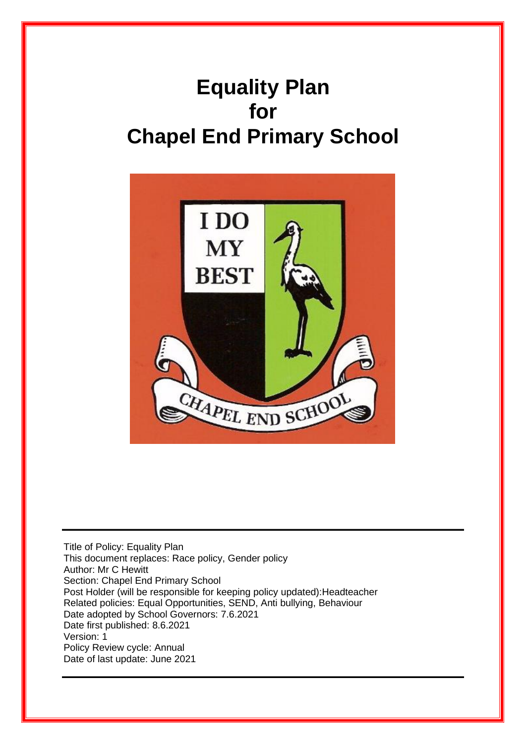# **Equality Plan for Chapel End Primary School**



Title of Policy: Equality Plan This document replaces: Race policy, Gender policy Author: Mr C Hewitt Section: Chapel End Primary School Post Holder (will be responsible for keeping policy updated):Headteacher Related policies: Equal Opportunities, SEND, Anti bullying, Behaviour Date adopted by School Governors: 7.6.2021 Date first published: 8.6.2021 Version: 1 Policy Review cycle: Annual Date of last update: June 2021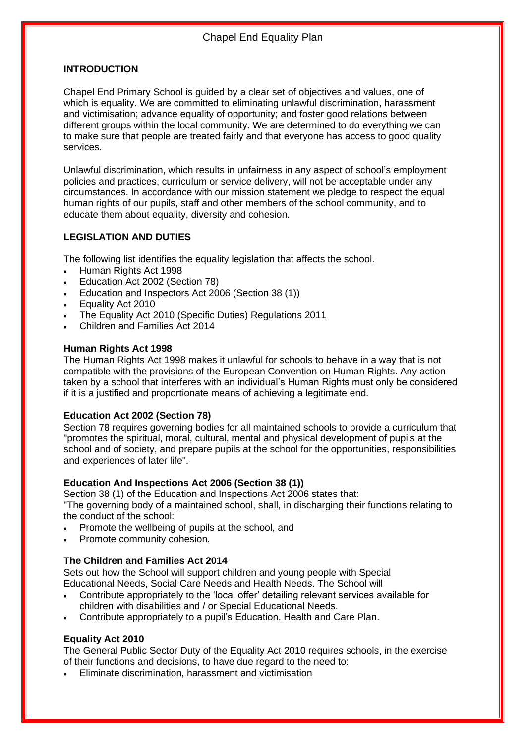#### **INTRODUCTION**

Chapel End Primary School is guided by a clear set of objectives and values, one of which is equality. We are committed to eliminating unlawful discrimination, harassment and victimisation; advance equality of opportunity; and foster good relations between different groups within the local community. We are determined to do everything we can to make sure that people are treated fairly and that everyone has access to good quality services.

Unlawful discrimination, which results in unfairness in any aspect of school's employment policies and practices, curriculum or service delivery, will not be acceptable under any circumstances. In accordance with our mission statement we pledge to respect the equal human rights of our pupils, staff and other members of the school community, and to educate them about equality, diversity and cohesion.

#### **LEGISLATION AND DUTIES**

The following list identifies the equality legislation that affects the school.

- Human Rights Act 1998
- Education Act 2002 (Section 78)
- Education and Inspectors Act 2006 (Section 38 (1))
- Equality Act 2010
- The Equality Act 2010 (Specific Duties) Regulations 2011
- Children and Families Act 2014

#### **Human Rights Act 1998**

The Human Rights Act 1998 makes it unlawful for schools to behave in a way that is not compatible with the provisions of the European Convention on Human Rights. Any action taken by a school that interferes with an individual's Human Rights must only be considered if it is a justified and proportionate means of achieving a legitimate end.

#### **Education Act 2002 (Section 78)**

Section 78 requires governing bodies for all maintained schools to provide a curriculum that "promotes the spiritual, moral, cultural, mental and physical development of pupils at the school and of society, and prepare pupils at the school for the opportunities, responsibilities and experiences of later life".

#### **Education And Inspections Act 2006 (Section 38 (1))**

Section 38 (1) of the Education and Inspections Act 2006 states that:

"The governing body of a maintained school, shall, in discharging their functions relating to the conduct of the school:

- Promote the wellbeing of pupils at the school, and
- Promote community cohesion.

#### **The Children and Families Act 2014**

Sets out how the School will support children and young people with Special Educational Needs, Social Care Needs and Health Needs. The School will

- Contribute appropriately to the 'local offer' detailing relevant services available for children with disabilities and / or Special Educational Needs.
- Contribute appropriately to a pupil's Education, Health and Care Plan.

#### **Equality Act 2010**

The General Public Sector Duty of the Equality Act 2010 requires schools, in the exercise of their functions and decisions, to have due regard to the need to:

• Eliminate discrimination, harassment and victimisation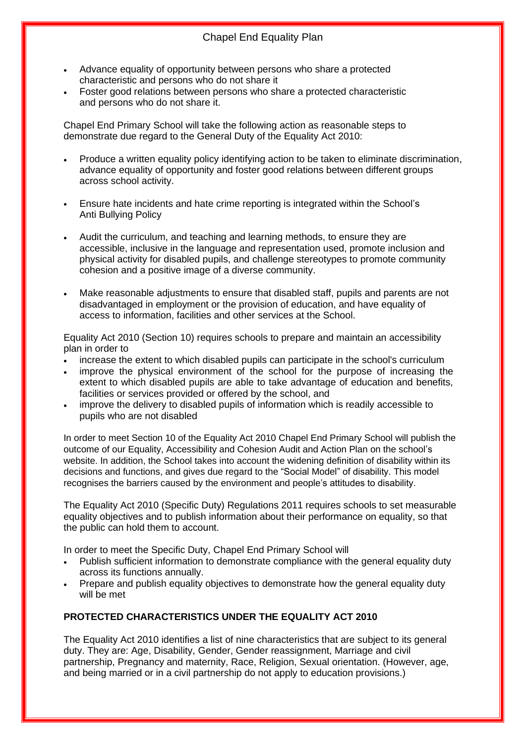### Chapel End Equality Plan

- Advance equality of opportunity between persons who share a protected characteristic and persons who do not share it
- Foster good relations between persons who share a protected characteristic and persons who do not share it.

Chapel End Primary School will take the following action as reasonable steps to demonstrate due regard to the General Duty of the Equality Act 2010:

- Produce a written equality policy identifying action to be taken to eliminate discrimination, advance equality of opportunity and foster good relations between different groups across school activity.
- Ensure hate incidents and hate crime reporting is integrated within the School's Anti Bullying Policy
- Audit the curriculum, and teaching and learning methods, to ensure they are accessible, inclusive in the language and representation used, promote inclusion and physical activity for disabled pupils, and challenge stereotypes to promote community cohesion and a positive image of a diverse community.
- Make reasonable adjustments to ensure that disabled staff, pupils and parents are not disadvantaged in employment or the provision of education, and have equality of access to information, facilities and other services at the School.

Equality Act 2010 (Section 10) requires schools to prepare and maintain an accessibility plan in order to

- increase the extent to which disabled pupils can participate in the school's curriculum
- improve the physical environment of the school for the purpose of increasing the extent to which disabled pupils are able to take advantage of education and benefits, facilities or services provided or offered by the school, and
- improve the delivery to disabled pupils of information which is readily accessible to pupils who are not disabled

In order to meet Section 10 of the Equality Act 2010 Chapel End Primary School will publish the outcome of our Equality, Accessibility and Cohesion Audit and Action Plan on the school's website. In addition, the School takes into account the widening definition of disability within its decisions and functions, and gives due regard to the "Social Model" of disability. This model recognises the barriers caused by the environment and people's attitudes to disability.

The Equality Act 2010 (Specific Duty) Regulations 2011 requires schools to set measurable equality objectives and to publish information about their performance on equality, so that the public can hold them to account.

In order to meet the Specific Duty, Chapel End Primary School will

- Publish sufficient information to demonstrate compliance with the general equality duty across its functions annually.
- Prepare and publish equality objectives to demonstrate how the general equality duty will be met

#### **PROTECTED CHARACTERISTICS UNDER THE EQUALITY ACT 2010**

The Equality Act 2010 identifies a list of nine characteristics that are subject to its general duty. They are: Age, Disability, Gender, Gender reassignment, Marriage and civil partnership, Pregnancy and maternity, Race, Religion, Sexual orientation. (However, age, and being married or in a civil partnership do not apply to education provisions.)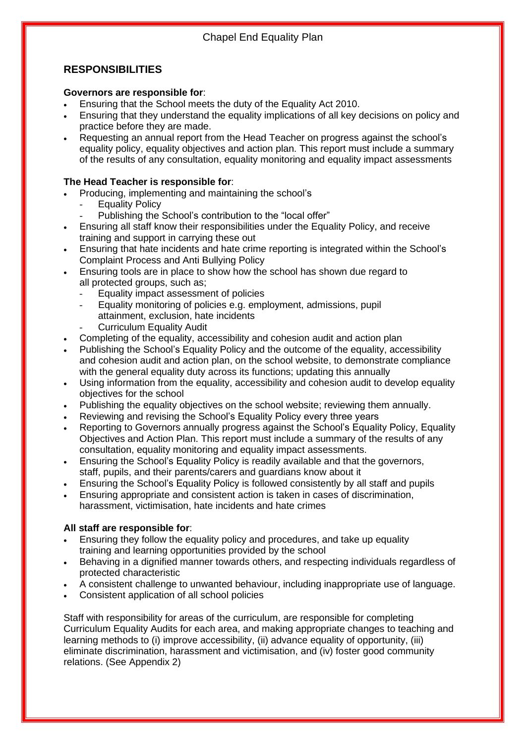### **RESPONSIBILITIES**

#### **Governors are responsible for**:

- Ensuring that the School meets the duty of the Equality Act 2010.
- Ensuring that they understand the equality implications of all key decisions on policy and practice before they are made.
- Requesting an annual report from the Head Teacher on progress against the school's equality policy, equality objectives and action plan. This report must include a summary of the results of any consultation, equality monitoring and equality impact assessments

#### **The Head Teacher is responsible for**:

- Producing, implementing and maintaining the school's
	- **Equality Policy** 
		- Publishing the School's contribution to the "local offer"
- Ensuring all staff know their responsibilities under the Equality Policy, and receive training and support in carrying these out
- Ensuring that hate incidents and hate crime reporting is integrated within the School's Complaint Process and Anti Bullying Policy
- Ensuring tools are in place to show how the school has shown due regard to all protected groups, such as;
	- Equality impact assessment of policies
	- Equality monitoring of policies e.g. employment, admissions, pupil attainment, exclusion, hate incidents
		- Curriculum Equality Audit
- Completing of the equality, accessibility and cohesion audit and action plan
- Publishing the School's Equality Policy and the outcome of the equality, accessibility and cohesion audit and action plan, on the school website, to demonstrate compliance with the general equality duty across its functions; updating this annually
- Using information from the equality, accessibility and cohesion audit to develop equality objectives for the school
- Publishing the equality objectives on the school website; reviewing them annually.
- Reviewing and revising the School's Equality Policy every three years
- Reporting to Governors annually progress against the School's Equality Policy, Equality Objectives and Action Plan. This report must include a summary of the results of any consultation, equality monitoring and equality impact assessments.
- Ensuring the School's Equality Policy is readily available and that the governors, staff, pupils, and their parents/carers and guardians know about it
- Ensuring the School's Equality Policy is followed consistently by all staff and pupils
- Ensuring appropriate and consistent action is taken in cases of discrimination, harassment, victimisation, hate incidents and hate crimes

#### **All staff are responsible for**:

- Ensuring they follow the equality policy and procedures, and take up equality training and learning opportunities provided by the school
- Behaving in a dignified manner towards others, and respecting individuals regardless of protected characteristic
- A consistent challenge to unwanted behaviour, including inappropriate use of language.
- Consistent application of all school policies

Staff with responsibility for areas of the curriculum, are responsible for completing Curriculum Equality Audits for each area, and making appropriate changes to teaching and learning methods to (i) improve accessibility, (ii) advance equality of opportunity, (iii) eliminate discrimination, harassment and victimisation, and (iv) foster good community relations. (See Appendix 2)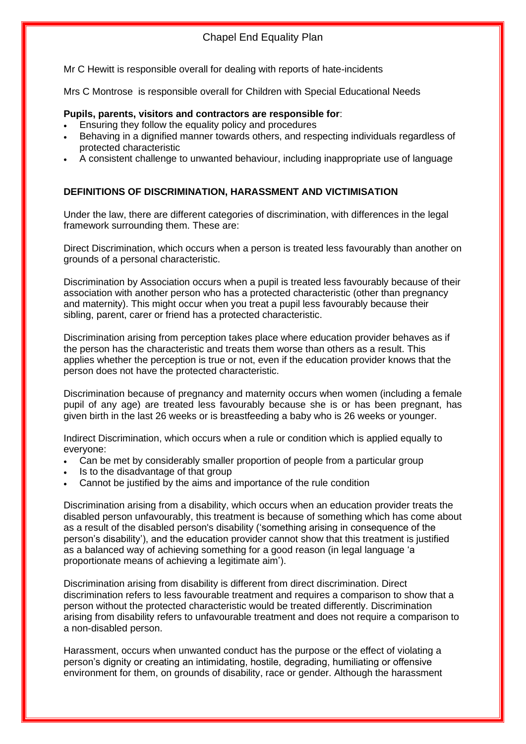Mr C Hewitt is responsible overall for dealing with reports of hate-incidents

Mrs C Montrose is responsible overall for Children with Special Educational Needs

#### **Pupils, parents, visitors and contractors are responsible for**:

- Ensuring they follow the equality policy and procedures
- Behaving in a dignified manner towards others, and respecting individuals regardless of protected characteristic
- A consistent challenge to unwanted behaviour, including inappropriate use of language

#### **DEFINITIONS OF DISCRIMINATION, HARASSMENT AND VICTIMISATION**

Under the law, there are different categories of discrimination, with differences in the legal framework surrounding them. These are:

Direct Discrimination, which occurs when a person is treated less favourably than another on grounds of a personal characteristic.

Discrimination by Association occurs when a pupil is treated less favourably because of their association with another person who has a protected characteristic (other than pregnancy and maternity). This might occur when you treat a pupil less favourably because their sibling, parent, carer or friend has a protected characteristic.

Discrimination arising from perception takes place where education provider behaves as if the person has the characteristic and treats them worse than others as a result. This applies whether the perception is true or not, even if the education provider knows that the person does not have the protected characteristic.

Discrimination because of pregnancy and maternity occurs when women (including a female pupil of any age) are treated less favourably because she is or has been pregnant, has given birth in the last 26 weeks or is breastfeeding a baby who is 26 weeks or younger.

Indirect Discrimination, which occurs when a rule or condition which is applied equally to everyone:

- Can be met by considerably smaller proportion of people from a particular group
- Is to the disadvantage of that group
- Cannot be justified by the aims and importance of the rule condition

Discrimination arising from a disability, which occurs when an education provider treats the disabled person unfavourably, this treatment is because of something which has come about as a result of the disabled person's disability ('something arising in consequence of the person's disability'), and the education provider cannot show that this treatment is justified as a balanced way of achieving something for a good reason (in legal language 'a proportionate means of achieving a legitimate aim').

Discrimination arising from disability is different from direct discrimination. Direct discrimination refers to less favourable treatment and requires a comparison to show that a person without the protected characteristic would be treated differently. Discrimination arising from disability refers to unfavourable treatment and does not require a comparison to a non-disabled person.

Harassment, occurs when unwanted conduct has the purpose or the effect of violating a person's dignity or creating an intimidating, hostile, degrading, humiliating or offensive environment for them, on grounds of disability, race or gender. Although the harassment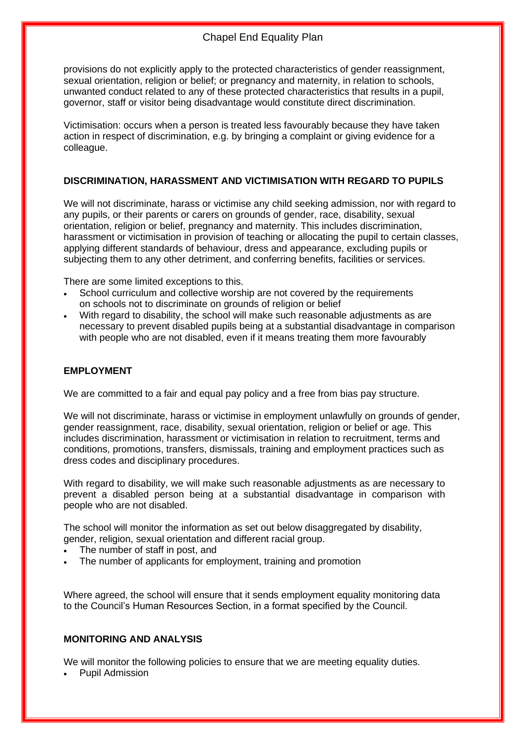provisions do not explicitly apply to the protected characteristics of gender reassignment, sexual orientation, religion or belief; or pregnancy and maternity, in relation to schools, unwanted conduct related to any of these protected characteristics that results in a pupil, governor, staff or visitor being disadvantage would constitute direct discrimination.

Victimisation: occurs when a person is treated less favourably because they have taken action in respect of discrimination, e.g. by bringing a complaint or giving evidence for a colleague.

#### **DISCRIMINATION, HARASSMENT AND VICTIMISATION WITH REGARD TO PUPILS**

We will not discriminate, harass or victimise any child seeking admission, nor with regard to any pupils, or their parents or carers on grounds of gender, race, disability, sexual orientation, religion or belief, pregnancy and maternity. This includes discrimination, harassment or victimisation in provision of teaching or allocating the pupil to certain classes, applying different standards of behaviour, dress and appearance, excluding pupils or subjecting them to any other detriment, and conferring benefits, facilities or services.

There are some limited exceptions to this.

- School curriculum and collective worship are not covered by the requirements on schools not to discriminate on grounds of religion or belief
- With regard to disability, the school will make such reasonable adjustments as are necessary to prevent disabled pupils being at a substantial disadvantage in comparison with people who are not disabled, even if it means treating them more favourably

#### **EMPLOYMENT**

We are committed to a fair and equal pay policy and a free from bias pay structure.

We will not discriminate, harass or victimise in employment unlawfully on grounds of gender, gender reassignment, race, disability, sexual orientation, religion or belief or age. This includes discrimination, harassment or victimisation in relation to recruitment, terms and conditions, promotions, transfers, dismissals, training and employment practices such as dress codes and disciplinary procedures.

With regard to disability, we will make such reasonable adjustments as are necessary to prevent a disabled person being at a substantial disadvantage in comparison with people who are not disabled.

The school will monitor the information as set out below disaggregated by disability, gender, religion, sexual orientation and different racial group.

- The number of staff in post, and
- The number of applicants for employment, training and promotion

Where agreed, the school will ensure that it sends employment equality monitoring data to the Council's Human Resources Section, in a format specified by the Council.

#### **MONITORING AND ANALYSIS**

We will monitor the following policies to ensure that we are meeting equality duties.

• Pupil Admission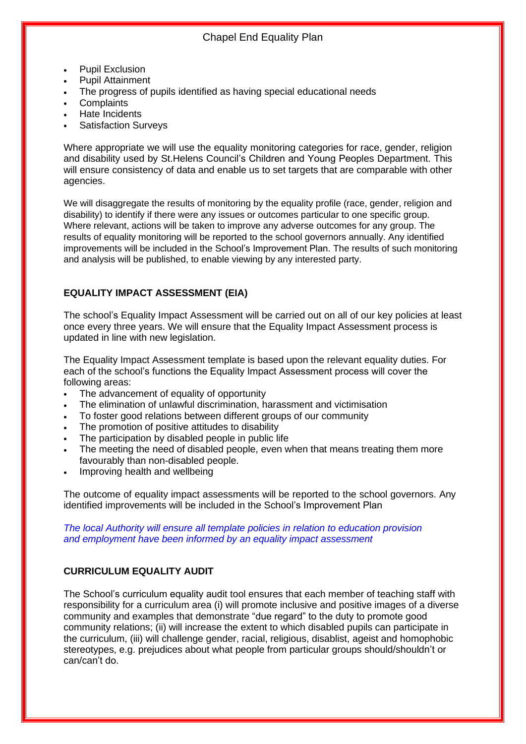- Pupil Exclusion
- Pupil Attainment
- The progress of pupils identified as having special educational needs
- **Complaints**
- Hate Incidents
- Satisfaction Surveys

Where appropriate we will use the equality monitoring categories for race, gender, religion and disability used by St.Helens Council's Children and Young Peoples Department. This will ensure consistency of data and enable us to set targets that are comparable with other agencies.

We will disaggregate the results of monitoring by the equality profile (race, gender, religion and disability) to identify if there were any issues or outcomes particular to one specific group. Where relevant, actions will be taken to improve any adverse outcomes for any group. The results of equality monitoring will be reported to the school governors annually. Any identified improvements will be included in the School's Improvement Plan. The results of such monitoring and analysis will be published, to enable viewing by any interested party.

#### **EQUALITY IMPACT ASSESSMENT (EIA)**

The school's Equality Impact Assessment will be carried out on all of our key policies at least once every three years. We will ensure that the Equality Impact Assessment process is updated in line with new legislation.

The Equality Impact Assessment template is based upon the relevant equality duties. For each of the school's functions the Equality Impact Assessment process will cover the following areas:

- The advancement of equality of opportunity
- The elimination of unlawful discrimination, harassment and victimisation
- To foster good relations between different groups of our community
- The promotion of positive attitudes to disability
- The participation by disabled people in public life
- The meeting the need of disabled people, even when that means treating them more favourably than non-disabled people.
- Improving health and wellbeing

The outcome of equality impact assessments will be reported to the school governors. Any identified improvements will be included in the School's Improvement Plan

*The local Authority will ensure all template policies in relation to education provision and employment have been informed by an equality impact assessment*

#### **CURRICULUM EQUALITY AUDIT**

The School's curriculum equality audit tool ensures that each member of teaching staff with responsibility for a curriculum area (i) will promote inclusive and positive images of a diverse community and examples that demonstrate "due regard" to the duty to promote good community relations; (ii) will increase the extent to which disabled pupils can participate in the curriculum, (iii) will challenge gender, racial, religious, disablist, ageist and homophobic stereotypes, e.g. prejudices about what people from particular groups should/shouldn't or can/can't do.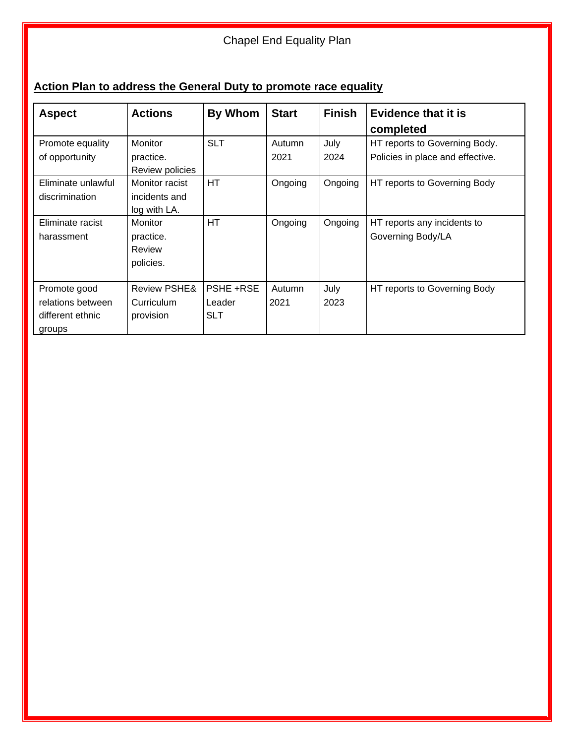### Chapel End Equality Plan

### **Action Plan to address the General Duty to promote race equality**

| <b>Aspect</b>      | <b>Actions</b>          | By Whom          | <b>Start</b> | <b>Finish</b> | Evidence that it is              |
|--------------------|-------------------------|------------------|--------------|---------------|----------------------------------|
|                    |                         |                  |              |               | completed                        |
| Promote equality   | <b>Monitor</b>          | <b>SLT</b>       | Autumn       | July          | HT reports to Governing Body.    |
| of opportunity     | practice.               |                  | 2021         | 2024          | Policies in place and effective. |
|                    | Review policies         |                  |              |               |                                  |
| Eliminate unlawful | Monitor racist          | HT               | Ongoing      | Ongoing       | HT reports to Governing Body     |
| discrimination     | incidents and           |                  |              |               |                                  |
|                    | log with LA.            |                  |              |               |                                  |
| Eliminate racist   | <b>Monitor</b>          | HT               | Ongoing      | Ongoing       | HT reports any incidents to      |
| harassment         | practice.               |                  |              |               | Governing Body/LA                |
|                    | Review                  |                  |              |               |                                  |
|                    | policies.               |                  |              |               |                                  |
|                    |                         |                  |              |               |                                  |
| Promote good       | <b>Review PSHE&amp;</b> | <b>PSHE +RSE</b> | Autumn       | July          | HT reports to Governing Body     |
| relations between  | Curriculum              | Leader           | 2021         | 2023          |                                  |
| different ethnic   | provision               | <b>SLT</b>       |              |               |                                  |
| groups             |                         |                  |              |               |                                  |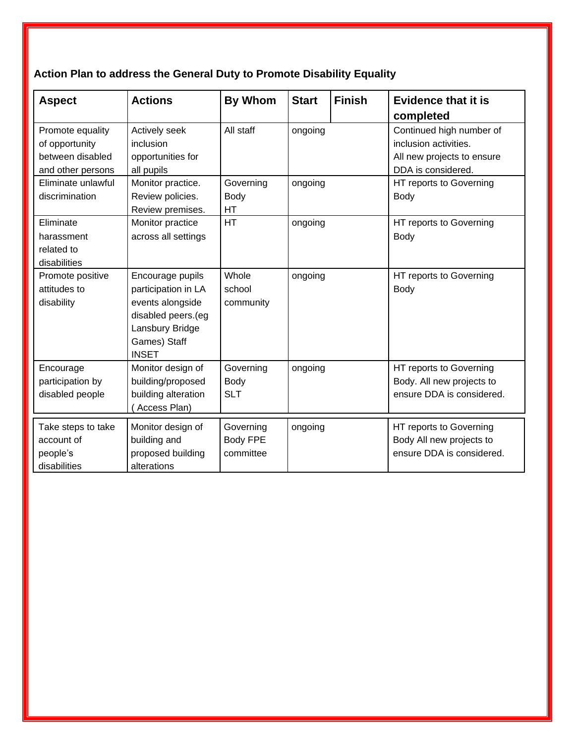## **Action Plan to address the General Duty to Promote Disability Equality**

| <b>Aspect</b>                                                               | <b>Actions</b>                                                                                                                       | <b>By Whom</b>                     | <b>Start</b> | <b>Finish</b> | <b>Evidence that it is</b><br>completed                                                               |
|-----------------------------------------------------------------------------|--------------------------------------------------------------------------------------------------------------------------------------|------------------------------------|--------------|---------------|-------------------------------------------------------------------------------------------------------|
| Promote equality<br>of opportunity<br>between disabled<br>and other persons | Actively seek<br>inclusion<br>opportunities for<br>all pupils                                                                        | All staff                          | ongoing      |               | Continued high number of<br>inclusion activities.<br>All new projects to ensure<br>DDA is considered. |
| Eliminate unlawful<br>discrimination                                        | Monitor practice.<br>Review policies.<br>Review premises.                                                                            | Governing<br>Body<br>HT            | ongoing      |               | HT reports to Governing<br><b>Body</b>                                                                |
| Eliminate<br>harassment<br>related to<br>disabilities                       | Monitor practice<br>across all settings                                                                                              | <b>HT</b>                          | ongoing      |               | HT reports to Governing<br><b>Body</b>                                                                |
| Promote positive<br>attitudes to<br>disability                              | Encourage pupils<br>participation in LA<br>events alongside<br>disabled peers.(eg<br>Lansbury Bridge<br>Games) Staff<br><b>INSET</b> | Whole<br>school<br>community       | ongoing      |               | HT reports to Governing<br><b>Body</b>                                                                |
| Encourage<br>participation by<br>disabled people                            | Monitor design of<br>building/proposed<br>building alteration<br>Access Plan)                                                        | Governing<br>Body<br><b>SLT</b>    | ongoing      |               | HT reports to Governing<br>Body. All new projects to<br>ensure DDA is considered.                     |
| Take steps to take<br>account of<br>people's<br>disabilities                | Monitor design of<br>building and<br>proposed building<br>alterations                                                                | Governing<br>Body FPE<br>committee | ongoing      |               | HT reports to Governing<br>Body All new projects to<br>ensure DDA is considered.                      |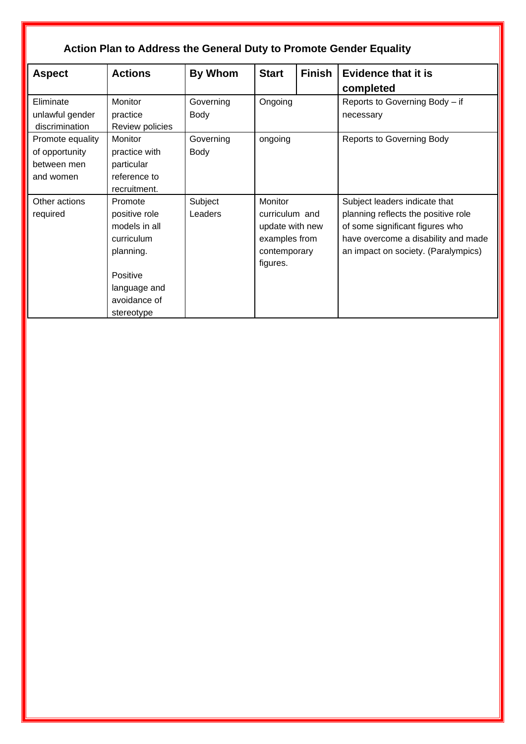| <b>Action Plan to Address the General Duty to Promote Gender Equality</b> |                                                                                                                                |                    |                                                                                           |               |                                                                                                                                                                                       |  |  |  |
|---------------------------------------------------------------------------|--------------------------------------------------------------------------------------------------------------------------------|--------------------|-------------------------------------------------------------------------------------------|---------------|---------------------------------------------------------------------------------------------------------------------------------------------------------------------------------------|--|--|--|
| <b>Aspect</b>                                                             | <b>Actions</b>                                                                                                                 | By Whom            | <b>Start</b>                                                                              | <b>Finish</b> | <b>Evidence that it is</b><br>completed                                                                                                                                               |  |  |  |
| Eliminate<br>unlawful gender<br>discrimination                            | Monitor<br>practice<br>Review policies                                                                                         | Governing<br>Body  | Ongoing                                                                                   |               | Reports to Governing Body - if<br>necessary                                                                                                                                           |  |  |  |
| Promote equality<br>of opportunity<br>between men<br>and women            | Monitor<br>practice with<br>particular<br>reference to<br>recruitment.                                                         | Governing<br>Body  | ongoing                                                                                   |               | <b>Reports to Governing Body</b>                                                                                                                                                      |  |  |  |
| Other actions<br>required                                                 | Promote<br>positive role<br>models in all<br>curriculum<br>planning.<br>Positive<br>language and<br>avoidance of<br>stereotype | Subject<br>Leaders | Monitor<br>curriculum and<br>update with new<br>examples from<br>contemporary<br>figures. |               | Subject leaders indicate that<br>planning reflects the positive role<br>of some significant figures who<br>have overcome a disability and made<br>an impact on society. (Paralympics) |  |  |  |